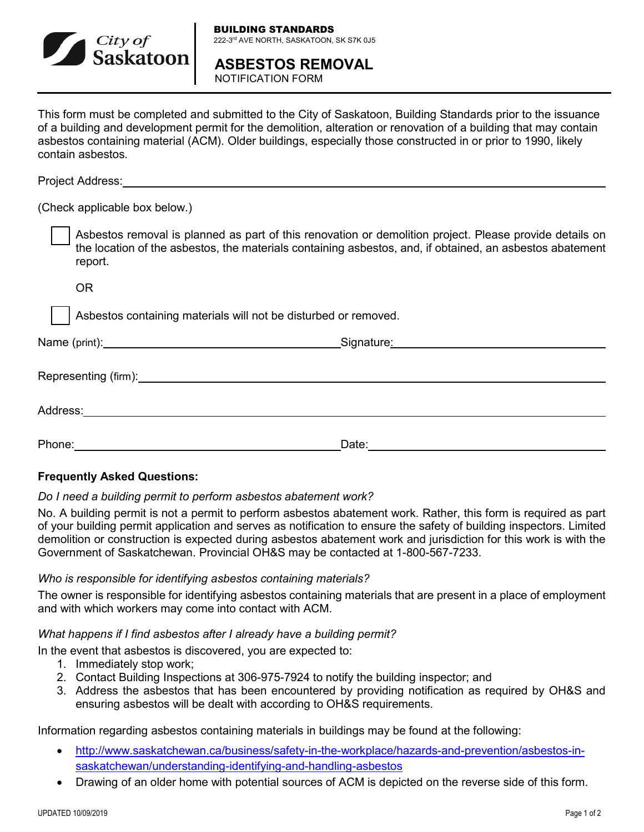

**ASBESTOS REMOVAL** NOTIFICATION FORM

This form must be completed and submitted to the City of Saskatoon, Building Standards prior to the issuance of a building and development permit for the demolition, alteration or renovation of a building that may contain asbestos containing material (ACM). Older buildings, especially those constructed in or prior to 1990, likely contain asbestos.

Project Address:

(Check applicable box below.)

 Asbestos removal is planned as part of this renovation or demolition project. Please provide details on the location of the asbestos, the materials containing asbestos, and, if obtained, an asbestos abatement report.

OR

Asbestos containing materials will not be disturbed or removed.

|          | _Signature <u>:__________________________________</u> |
|----------|-------------------------------------------------------|
|          |                                                       |
| Address: |                                                       |
| Phone:   | Date:                                                 |

## **Frequently Asked Questions:**

## *Do I need a building permit to perform asbestos abatement work?*

No. A building permit is not a permit to perform asbestos abatement work. Rather, this form is required as part of your building permit application and serves as notification to ensure the safety of building inspectors. Limited demolition or construction is expected during asbestos abatement work and jurisdiction for this work is with the Government of Saskatchewan. Provincial OH&S may be contacted at 1-800-567-7233.

## *Who is responsible for identifying asbestos containing materials?*

The owner is responsible for identifying asbestos containing materials that are present in a place of employment and with which workers may come into contact with ACM.

## *What happens if I find asbestos after I already have a building permit?*

In the event that asbestos is discovered, you are expected to:

- 1. Immediately stop work;
- 2. Contact Building Inspections at 306-975-7924 to notify the building inspector; and
- 3. Address the asbestos that has been encountered by providing notification as required by OH&S and ensuring asbestos will be dealt with according to OH&S requirements.

Information regarding asbestos containing materials in buildings may be found at the following:

- [http://www.saskatchewan.ca/business/safety-in-the-workplace/hazards-and-prevention/asbestos-in](http://www.saskatchewan.ca/business/safety-in-the-workplace/hazards-and-prevention/asbestos-in-saskatchewan/understanding-identifying-and-handling-asbestos)[saskatchewan/understanding-identifying-and-handling-asbestos](http://www.saskatchewan.ca/business/safety-in-the-workplace/hazards-and-prevention/asbestos-in-saskatchewan/understanding-identifying-and-handling-asbestos)
- Drawing of an older home with potential sources of ACM is depicted on the reverse side of this form.